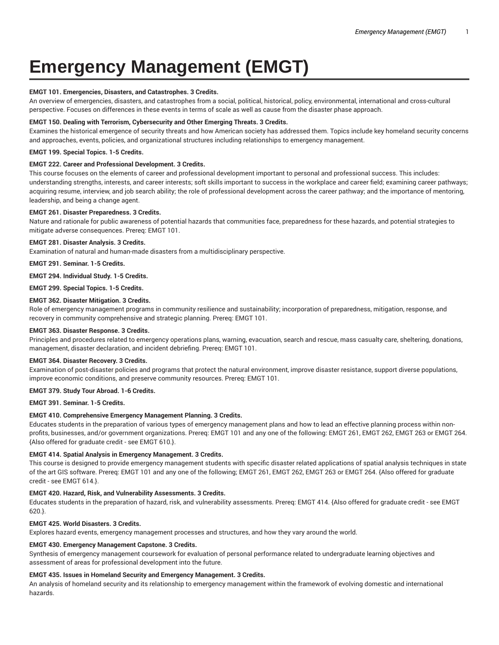# **Emergency Management (EMGT)**

#### **EMGT 101. Emergencies, Disasters, and Catastrophes. 3 Credits.**

An overview of emergencies, disasters, and catastrophes from a social, political, historical, policy, environmental, international and cross-cultural perspective. Focuses on differences in these events in terms of scale as well as cause from the disaster phase approach.

#### **EMGT 150. Dealing with Terrorism, Cybersecurity and Other Emerging Threats. 3 Credits.**

Examines the historical emergence of security threats and how American society has addressed them. Topics include key homeland security concerns and approaches, events, policies, and organizational structures including relationships to emergency management.

#### **EMGT 199. Special Topics. 1-5 Credits.**

#### **EMGT 222. Career and Professional Development. 3 Credits.**

This course focuses on the elements of career and professional development important to personal and professional success. This includes: understanding strengths, interests, and career interests; soft skills important to success in the workplace and career field; examining career pathways; acquiring resume, interview, and job search ability; the role of professional development across the career pathway; and the importance of mentoring, leadership, and being a change agent.

#### **EMGT 261. Disaster Preparedness. 3 Credits.**

Nature and rationale for public awareness of potential hazards that communities face, preparedness for these hazards, and potential strategies to mitigate adverse consequences. Prereq: EMGT 101.

# **EMGT 281. Disaster Analysis. 3 Credits.**

Examination of natural and human-made disasters from a multidisciplinary perspective.

**EMGT 291. Seminar. 1-5 Credits.**

**EMGT 294. Individual Study. 1-5 Credits.**

**EMGT 299. Special Topics. 1-5 Credits.**

# **EMGT 362. Disaster Mitigation. 3 Credits.**

Role of emergency management programs in community resilience and sustainability; incorporation of preparedness, mitigation, response, and recovery in community comprehensive and strategic planning. Prereq: EMGT 101.

#### **EMGT 363. Disaster Response. 3 Credits.**

Principles and procedures related to emergency operations plans, warning, evacuation, search and rescue, mass casualty care, sheltering, donations, management, disaster declaration, and incident debriefing. Prereq: EMGT 101.

#### **EMGT 364. Disaster Recovery. 3 Credits.**

Examination of post-disaster policies and programs that protect the natural environment, improve disaster resistance, support diverse populations, improve economic conditions, and preserve community resources. Prereq: EMGT 101.

#### **EMGT 379. Study Tour Abroad. 1-6 Credits.**

### **EMGT 391. Seminar. 1-5 Credits.**

#### **EMGT 410. Comprehensive Emergency Management Planning. 3 Credits.**

Educates students in the preparation of various types of emergency management plans and how to lead an effective planning process within nonprofits, businesses, and/or government organizations. Prereq: EMGT 101 and any one of the following: EMGT 261, EMGT 262, EMGT 263 or EMGT 264. {Also offered for graduate credit - see EMGT 610.}.

#### **EMGT 414. Spatial Analysis in Emergency Management. 3 Credits.**

This course is designed to provide emergency management students with specific disaster related applications of spatial analysis techniques in state of the art GIS software. Prereq: EMGT 101 and any one of the following; EMGT 261, EMGT 262, EMGT 263 or EMGT 264. {Also offered for graduate credit - see EMGT 614.}.

#### **EMGT 420. Hazard, Risk, and Vulnerability Assessments. 3 Credits.**

Educates students in the preparation of hazard, risk, and vulnerability assessments. Prereq: EMGT 414. {Also offered for graduate credit - see EMGT 620.}.

### **EMGT 425. World Disasters. 3 Credits.**

Explores hazard events, emergency management processes and structures, and how they vary around the world.

#### **EMGT 430. Emergency Management Capstone. 3 Credits.**

Synthesis of emergency management coursework for evaluation of personal performance related to undergraduate learning objectives and assessment of areas for professional development into the future.

#### **EMGT 435. Issues in Homeland Security and Emergency Management. 3 Credits.**

An analysis of homeland security and its relationship to emergency management within the framework of evolving domestic and international hazards.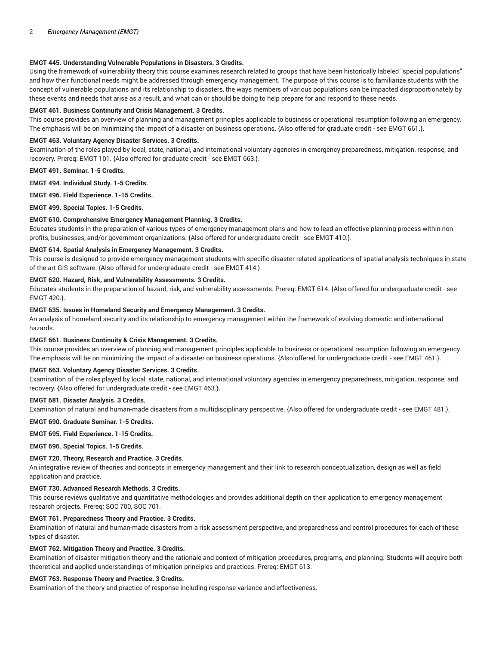## **EMGT 445. Understanding Vulnerable Populations in Disasters. 3 Credits.**

Using the framework of vulnerability theory this course examines research related to groups that have been historically labeled "special populations" and how their functional needs might be addressed through emergency management. The purpose of this course is to familiarize students with the concept of vulnerable populations and its relationship to disasters, the ways members of various populations can be impacted disproportionately by these events and needs that arise as a result, and what can or should be doing to help prepare for and respond to these needs.

### **EMGT 461. Business Continuity and Crisis Management. 3 Credits.**

This course provides an overview of planning and management principles applicable to business or operational resumption following an emergency. The emphasis will be on minimizing the impact of a disaster on business operations. {Also offered for graduate credit - see EMGT 661.}.

# **EMGT 463. Voluntary Agency Disaster Services. 3 Credits.**

Examination of the roles played by local, state, national, and international voluntary agencies in emergency preparedness, mitigation, response, and recovery. Prereq: EMGT 101. {Also offered for graduate credit - see EMGT 663.}.

**EMGT 491. Seminar. 1-5 Credits.**

**EMGT 494. Individual Study. 1-5 Credits.**

**EMGT 496. Field Experience. 1-15 Credits.**

**EMGT 499. Special Topics. 1-5 Credits.**

#### **EMGT 610. Comprehensive Emergency Management Planning. 3 Credits.**

Educates students in the preparation of various types of emergency management plans and how to lead an effective planning process within nonprofits, businesses, and/or government organizations. {Also offered for undergraduate credit - see EMGT 410.}.

# **EMGT 614. Spatial Analysis in Emergency Management. 3 Credits.**

This course is designed to provide emergency management students with specific disaster related applications of spatial analysis techniques in state of the art GIS software. {Also offered for undergraduate credit - see EMGT 414.}.

#### **EMGT 620. Hazard, Risk, and Vulnerability Assessments. 3 Credits.**

Educates students in the preparation of hazard, risk, and vulnerability assessments. Prereq: EMGT 614. {Also offered for undergraduate credit - see EMGT 420.}.

#### **EMGT 635. Issues in Homeland Security and Emergency Management. 3 Credits.**

An analysis of homeland security and its relationship to emergency management within the framework of evolving domestic and international hazards.

#### **EMGT 661. Business Continuity & Crisis Management. 3 Credits.**

This course provides an overview of planning and management principles applicable to business or operational resumption following an emergency. The emphasis will be on minimizing the impact of a disaster on business operations. {Also offered for undergraduate credit - see EMGT 461.}.

#### **EMGT 663. Voluntary Agency Disaster Services. 3 Credits.**

Examination of the roles played by local, state, national, and international voluntary agencies in emergency preparedness, mitigation, response, and recovery. {Also offered for undergraduate credit - see EMGT 463.}.

#### **EMGT 681. Disaster Analysis. 3 Credits.**

Examination of natural and human-made disasters from a multidisciplinary perspective. {Also offered for undergraduate credit - see EMGT 481.}.

#### **EMGT 690. Graduate Seminar. 1-5 Credits.**

#### **EMGT 695. Field Experience. 1-15 Credits.**

**EMGT 696. Special Topics. 1-5 Credits.**

#### **EMGT 720. Theory, Research and Practice. 3 Credits.**

An integrative review of theories and concepts in emergency management and their link to research conceptualization, design as well as field application and practice.

# **EMGT 730. Advanced Research Methods. 3 Credits.**

This course reviews qualitative and quantitative methodologies and provides additional depth on their application to emergency management research projects. Prereq: SOC 700, SOC 701.

# **EMGT 761. Preparedness Theory and Practice. 3 Credits.**

Examination of natural and human-made disasters from a risk assessment perspective, and preparedness and control procedures for each of these types of disaster.

#### **EMGT 762. Mitigation Theory and Practice. 3 Credits.**

Examination of disaster mitigation theory and the rationale and context of mitigation procedures, programs, and planning. Students will acquire both theoretical and applied understandings of mitigation principles and practices. Prereq: EMGT 613.

#### **EMGT 763. Response Theory and Practice. 3 Credits.**

Examination of the theory and practice of response including response variance and effectiveness.